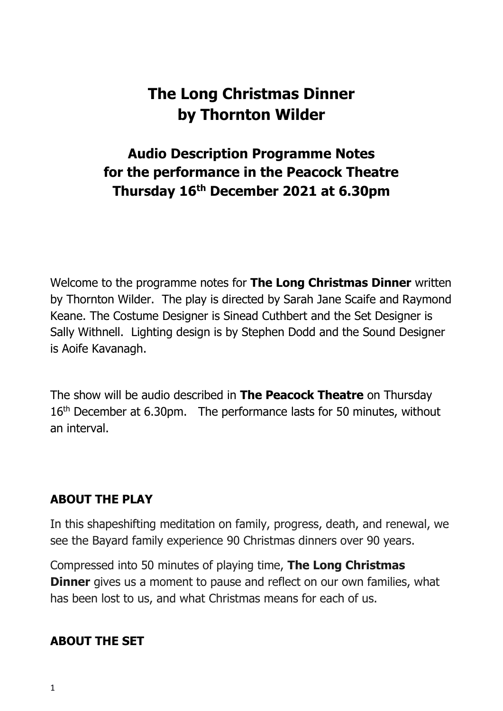# **The Long Christmas Dinner by Thornton Wilder**

## **Audio Description Programme Notes for the performance in the Peacock Theatre Thursday 16th December 2021 at 6.30pm**

Welcome to the programme notes for **The Long Christmas Dinner** written by Thornton Wilder. The play is directed by Sarah Jane Scaife and Raymond Keane. The Costume Designer is Sinead Cuthbert and the Set Designer is Sally Withnell. Lighting design is by Stephen Dodd and the Sound Designer is Aoife Kavanagh.

The show will be audio described in **The Peacock Theatre** on Thursday 16<sup>th</sup> December at 6.30pm. The performance lasts for 50 minutes, without an interval.

#### **ABOUT THE PLAY**

In this shapeshifting meditation on family, progress, death, and renewal, we see the Bayard family experience 90 Christmas dinners over 90 years.

Compressed into 50 minutes of playing time, **The Long Christmas Dinner** gives us a moment to pause and reflect on our own families, what has been lost to us, and what Christmas means for each of us.

#### **ABOUT THE SET**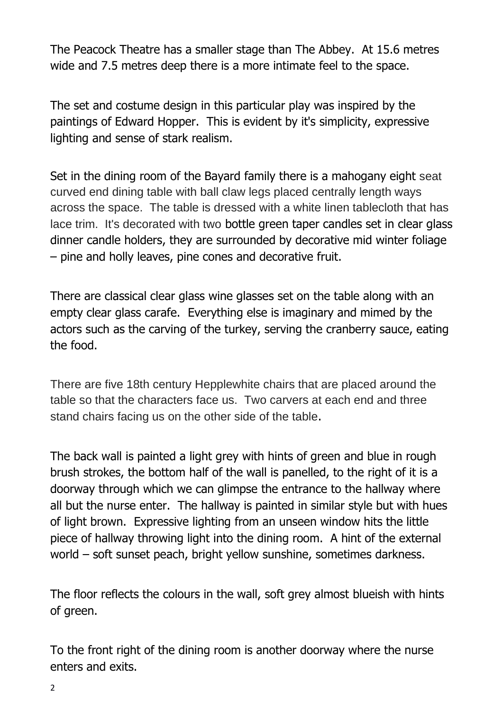The Peacock Theatre has a smaller stage than The Abbey. At 15.6 metres wide and 7.5 metres deep there is a more intimate feel to the space.

The set and costume design in this particular play was inspired by the paintings of Edward Hopper. This is evident by it's simplicity, expressive lighting and sense of stark realism.

Set in the dining room of the Bayard family there is a mahogany eight seat curved end dining table with ball claw legs placed centrally length ways across the space. The table is dressed with a white linen tablecloth that has lace trim. It's decorated with two bottle green taper candles set in clear glass dinner candle holders, they are surrounded by decorative mid winter foliage – pine and holly leaves, pine cones and decorative fruit.

There are classical clear glass wine glasses set on the table along with an empty clear glass carafe. Everything else is imaginary and mimed by the actors such as the carving of the turkey, serving the cranberry sauce, eating the food.

There are five 18th century Hepplewhite chairs that are placed around the table so that the characters face us. Two carvers at each end and three stand chairs facing us on the other side of the table.

The back wall is painted a light grey with hints of green and blue in rough brush strokes, the bottom half of the wall is panelled, to the right of it is a doorway through which we can glimpse the entrance to the hallway where all but the nurse enter. The hallway is painted in similar style but with hues of light brown. Expressive lighting from an unseen window hits the little piece of hallway throwing light into the dining room. A hint of the external world – soft sunset peach, bright yellow sunshine, sometimes darkness.

The floor reflects the colours in the wall, soft grey almost blueish with hints of green.

To the front right of the dining room is another doorway where the nurse enters and exits.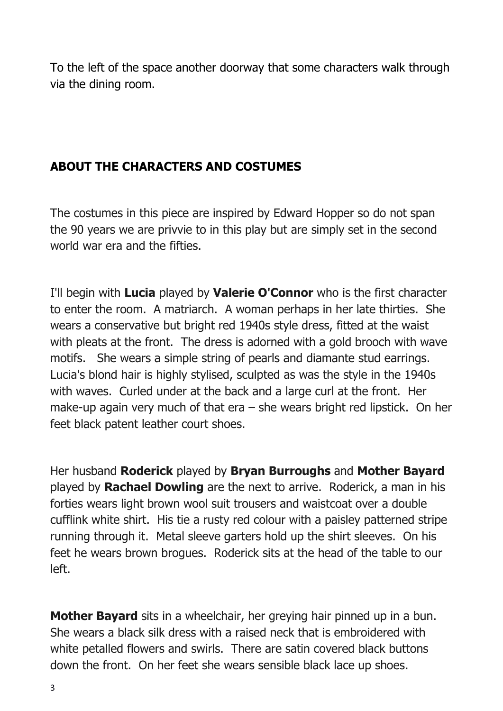To the left of the space another doorway that some characters walk through via the dining room.

### **ABOUT THE CHARACTERS AND COSTUMES**

The costumes in this piece are inspired by Edward Hopper so do not span the 90 years we are privvie to in this play but are simply set in the second world war era and the fifties.

I'll begin with **Lucia** played by **Valerie O'Connor** who is the first character to enter the room. A matriarch. A woman perhaps in her late thirties. She wears a conservative but bright red 1940s style dress, fitted at the waist with pleats at the front. The dress is adorned with a gold brooch with wave motifs. She wears a simple string of pearls and diamante stud earrings. Lucia's blond hair is highly stylised, sculpted as was the style in the 1940s with waves. Curled under at the back and a large curl at the front. Her make-up again very much of that era – she wears bright red lipstick. On her feet black patent leather court shoes.

Her husband **Roderick** played by **Bryan Burroughs** and **Mother Bayard** played by **Rachael Dowling** are the next to arrive. Roderick, a man in his forties wears light brown wool suit trousers and waistcoat over a double cufflink white shirt. His tie a rusty red colour with a paisley patterned stripe running through it. Metal sleeve garters hold up the shirt sleeves. On his feet he wears brown brogues. Roderick sits at the head of the table to our left.

**Mother Bayard** sits in a wheelchair, her greying hair pinned up in a bun. She wears a black silk dress with a raised neck that is embroidered with white petalled flowers and swirls. There are satin covered black buttons down the front. On her feet she wears sensible black lace up shoes.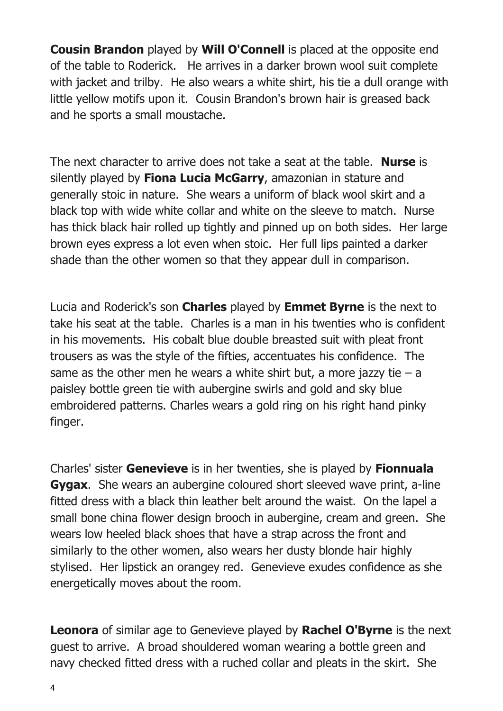**Cousin Brandon** played by **Will O'Connell** is placed at the opposite end of the table to Roderick. He arrives in a darker brown wool suit complete with jacket and trilby. He also wears a white shirt, his tie a dull orange with little yellow motifs upon it. Cousin Brandon's brown hair is greased back and he sports a small moustache.

The next character to arrive does not take a seat at the table. **Nurse** is silently played by **Fiona Lucia McGarry**, amazonian in stature and generally stoic in nature. She wears a uniform of black wool skirt and a black top with wide white collar and white on the sleeve to match. Nurse has thick black hair rolled up tightly and pinned up on both sides. Her large brown eyes express a lot even when stoic. Her full lips painted a darker shade than the other women so that they appear dull in comparison.

Lucia and Roderick's son **Charles** played by **Emmet Byrne** is the next to take his seat at the table. Charles is a man in his twenties who is confident in his movements. His cobalt blue double breasted suit with pleat front trousers as was the style of the fifties, accentuates his confidence. The same as the other men he wears a white shirt but, a more jazzy tie  $-$  a paisley bottle green tie with aubergine swirls and gold and sky blue embroidered patterns. Charles wears a gold ring on his right hand pinky finger.

Charles' sister **Genevieve** is in her twenties, she is played by **Fionnuala Gygax**. She wears an aubergine coloured short sleeved wave print, a-line fitted dress with a black thin leather belt around the waist. On the lapel a small bone china flower design brooch in aubergine, cream and green. She wears low heeled black shoes that have a strap across the front and similarly to the other women, also wears her dusty blonde hair highly stylised. Her lipstick an orangey red. Genevieve exudes confidence as she energetically moves about the room.

**Leonora** of similar age to Genevieve played by **Rachel O'Byrne** is the next guest to arrive. A broad shouldered woman wearing a bottle green and navy checked fitted dress with a ruched collar and pleats in the skirt. She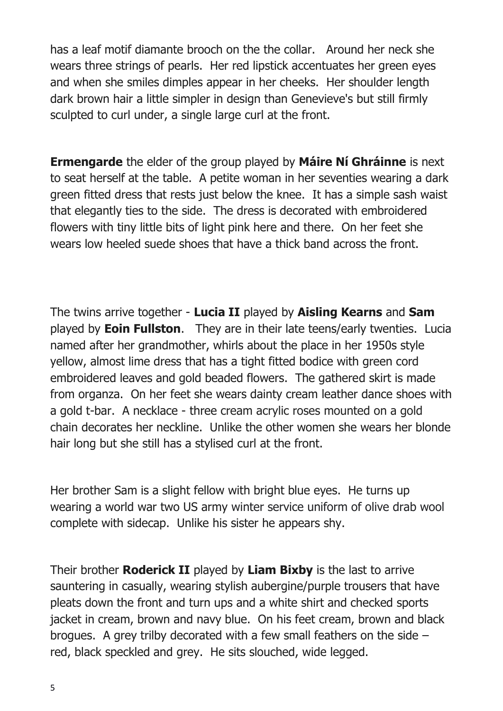has a leaf motif diamante brooch on the the collar. Around her neck she wears three strings of pearls. Her red lipstick accentuates her green eyes and when she smiles dimples appear in her cheeks. Her shoulder length dark brown hair a little simpler in design than Genevieve's but still firmly sculpted to curl under, a single large curl at the front.

**Ermengarde** the elder of the group played by **Máire Ní Ghráinne** is next to seat herself at the table. A petite woman in her seventies wearing a dark green fitted dress that rests just below the knee. It has a simple sash waist that elegantly ties to the side. The dress is decorated with embroidered flowers with tiny little bits of light pink here and there. On her feet she wears low heeled suede shoes that have a thick band across the front.

The twins arrive together - **Lucia II** played by **Aisling Kearns** and **Sam**  played by **Eoin Fullston**. They are in their late teens/early twenties. Lucia named after her grandmother, whirls about the place in her 1950s style yellow, almost lime dress that has a tight fitted bodice with green cord embroidered leaves and gold beaded flowers. The gathered skirt is made from organza. On her feet she wears dainty cream leather dance shoes with a gold t-bar. A necklace - three cream acrylic roses mounted on a gold chain decorates her neckline. Unlike the other women she wears her blonde hair long but she still has a stylised curl at the front.

Her brother Sam is a slight fellow with bright blue eyes. He turns up wearing a world war two US army winter service uniform of olive drab wool complete with sidecap. Unlike his sister he appears shy.

Their brother **Roderick II** played by **Liam Bixby** is the last to arrive sauntering in casually, wearing stylish aubergine/purple trousers that have pleats down the front and turn ups and a white shirt and checked sports jacket in cream, brown and navy blue. On his feet cream, brown and black brogues. A grey trilby decorated with a few small feathers on the side – red, black speckled and grey. He sits slouched, wide legged.